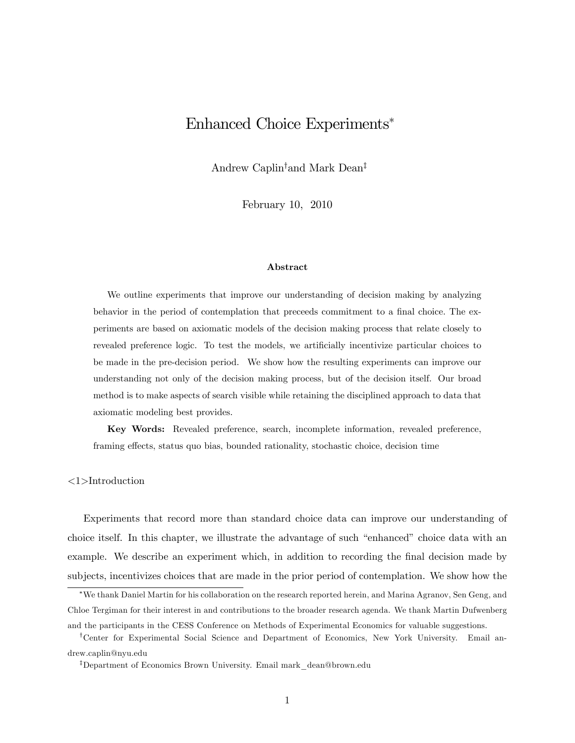# Enhanced Choice Experiments

Andrew Caplin<sup>†</sup> and Mark Dean<sup>‡</sup>

February 10, 2010

#### Abstract

We outline experiments that improve our understanding of decision making by analyzing behavior in the period of contemplation that preceeds commitment to a final choice. The experiments are based on axiomatic models of the decision making process that relate closely to revealed preference logic. To test the models, we artificially incentivize particular choices to be made in the pre-decision period. We show how the resulting experiments can improve our understanding not only of the decision making process, but of the decision itself. Our broad method is to make aspects of search visible while retaining the disciplined approach to data that axiomatic modeling best provides.

Key Words: Revealed preference, search, incomplete information, revealed preference, framing effects, status quo bias, bounded rationality, stochastic choice, decision time

# <1>Introduction

Experiments that record more than standard choice data can improve our understanding of choice itself. In this chapter, we illustrate the advantage of such "enhanced" choice data with an example. We describe an experiment which, in addition to recording the final decision made by subjects, incentivizes choices that are made in the prior period of contemplation. We show how the

We thank Daniel Martin for his collaboration on the research reported herein, and Marina Agranov, Sen Geng, and Chloe Tergiman for their interest in and contributions to the broader research agenda. We thank Martin Dufwenberg and the participants in the CESS Conference on Methods of Experimental Economics for valuable suggestions.

<sup>&</sup>lt;sup>†</sup>Center for Experimental Social Science and Department of Economics, New York University. Email andrew.caplin@nyu.edu

<sup>&</sup>lt;sup>‡</sup>Department of Economics Brown University. Email mark\_dean@brown.edu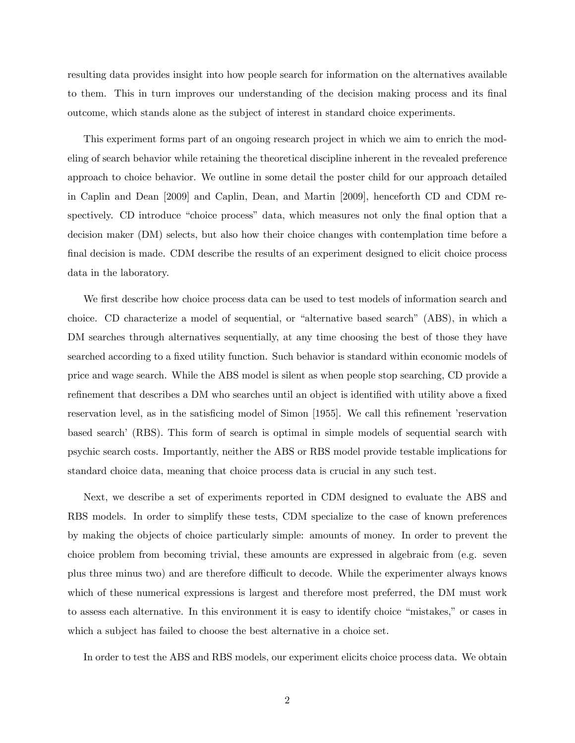resulting data provides insight into how people search for information on the alternatives available to them. This in turn improves our understanding of the decision making process and its final outcome, which stands alone as the subject of interest in standard choice experiments.

This experiment forms part of an ongoing research project in which we aim to enrich the modeling of search behavior while retaining the theoretical discipline inherent in the revealed preference approach to choice behavior. We outline in some detail the poster child for our approach detailed in Caplin and Dean [2009] and Caplin, Dean, and Martin [2009], henceforth CD and CDM respectively. CD introduce "choice process" data, which measures not only the final option that a decision maker (DM) selects, but also how their choice changes with contemplation time before a final decision is made. CDM describe the results of an experiment designed to elicit choice process data in the laboratory.

We first describe how choice process data can be used to test models of information search and choice. CD characterize a model of sequential, or "alternative based search" (ABS), in which a DM searches through alternatives sequentially, at any time choosing the best of those they have searched according to a fixed utility function. Such behavior is standard within economic models of price and wage search. While the ABS model is silent as when people stop searching, CD provide a refinement that describes a DM who searches until an object is identified with utility above a fixed reservation level, as in the satisficing model of Simon [1955]. We call this refinement *reservation* based search<sup>†</sup> (RBS). This form of search is optimal in simple models of sequential search with psychic search costs. Importantly, neither the ABS or RBS model provide testable implications for standard choice data, meaning that choice process data is crucial in any such test.

Next, we describe a set of experiments reported in CDM designed to evaluate the ABS and RBS models. In order to simplify these tests, CDM specialize to the case of known preferences by making the objects of choice particularly simple: amounts of money. In order to prevent the choice problem from becoming trivial, these amounts are expressed in algebraic from (e.g. seven plus three minus two) and are therefore difficult to decode. While the experimenter always knows which of these numerical expressions is largest and therefore most preferred, the DM must work to assess each alternative. In this environment it is easy to identify choice "mistakes," or cases in which a subject has failed to choose the best alternative in a choice set.

In order to test the ABS and RBS models, our experiment elicits choice process data. We obtain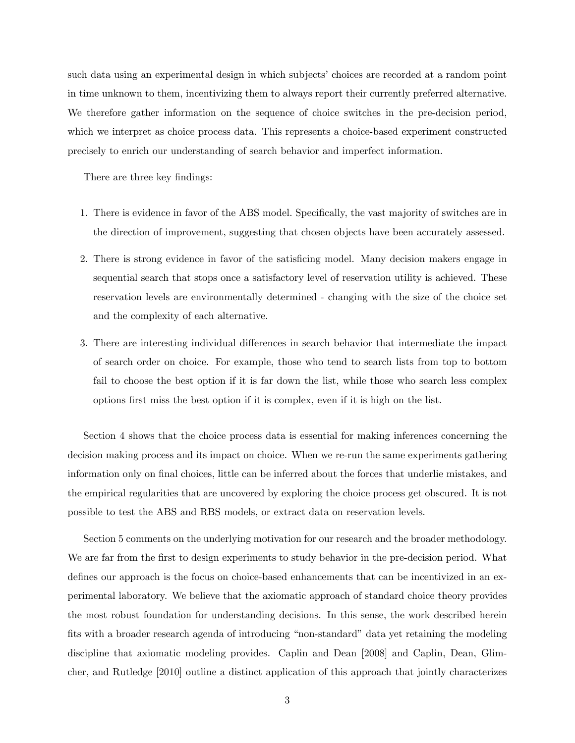such data using an experimental design in which subjects' choices are recorded at a random point in time unknown to them, incentivizing them to always report their currently preferred alternative. We therefore gather information on the sequence of choice switches in the pre-decision period, which we interpret as choice process data. This represents a choice-based experiment constructed precisely to enrich our understanding of search behavior and imperfect information.

There are three key findings:

- 1. There is evidence in favor of the ABS model. Specifically, the vast majority of switches are in the direction of improvement, suggesting that chosen objects have been accurately assessed.
- 2. There is strong evidence in favor of the satisficing model. Many decision makers engage in sequential search that stops once a satisfactory level of reservation utility is achieved. These reservation levels are environmentally determined - changing with the size of the choice set and the complexity of each alternative.
- 3. There are interesting individual differences in search behavior that intermediate the impact of search order on choice. For example, those who tend to search lists from top to bottom fail to choose the best option if it is far down the list, while those who search less complex options Örst miss the best option if it is complex, even if it is high on the list.

Section 4 shows that the choice process data is essential for making inferences concerning the decision making process and its impact on choice. When we re-run the same experiments gathering information only on final choices, little can be inferred about the forces that underlie mistakes, and the empirical regularities that are uncovered by exploring the choice process get obscured. It is not possible to test the ABS and RBS models, or extract data on reservation levels.

Section 5 comments on the underlying motivation for our research and the broader methodology. We are far from the first to design experiments to study behavior in the pre-decision period. What defines our approach is the focus on choice-based enhancements that can be incentivized in an experimental laboratory. We believe that the axiomatic approach of standard choice theory provides the most robust foundation for understanding decisions. In this sense, the work described herein fits with a broader research agenda of introducing "non-standard" data yet retaining the modeling discipline that axiomatic modeling provides. Caplin and Dean [2008] and Caplin, Dean, Glimcher, and Rutledge [2010] outline a distinct application of this approach that jointly characterizes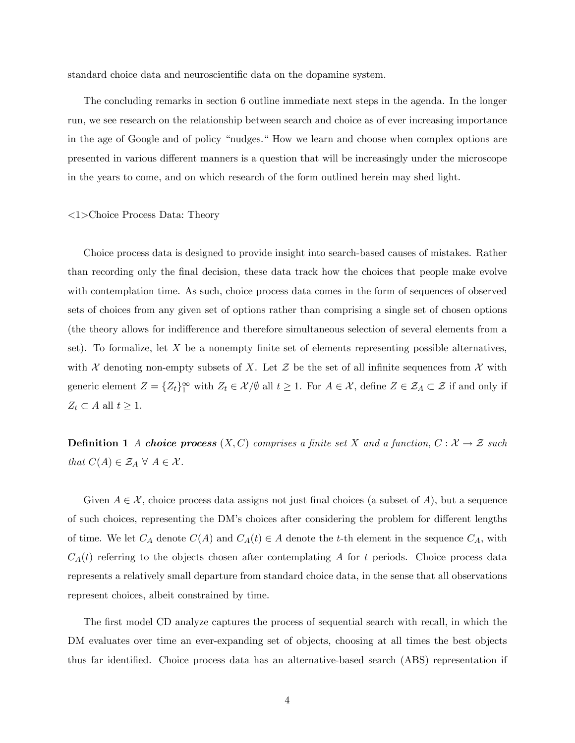standard choice data and neuroscientific data on the dopamine system.

The concluding remarks in section 6 outline immediate next steps in the agenda. In the longer run, we see research on the relationship between search and choice as of ever increasing importance in the age of Google and of policy "nudges." How we learn and choose when complex options are presented in various different manners is a question that will be increasingly under the microscope in the years to come, and on which research of the form outlined herein may shed light.

#### <1>Choice Process Data: Theory

Choice process data is designed to provide insight into search-based causes of mistakes. Rather than recording only the final decision, these data track how the choices that people make evolve with contemplation time. As such, choice process data comes in the form of sequences of observed sets of choices from any given set of options rather than comprising a single set of chosen options (the theory allows for indifference and therefore simultaneous selection of several elements from a set). To formalize, let  $X$  be a nonempty finite set of elements representing possible alternatives, with X denoting non-empty subsets of X. Let  $\mathcal Z$  be the set of all infinite sequences from X with generic element  $Z = \{Z_t\}_1^{\infty}$  with  $Z_t \in \mathcal{X}/\emptyset$  all  $t \geq 1$ . For  $A \in \mathcal{X}$ , define  $Z \in \mathcal{Z}_A \subset \mathcal{Z}$  if and only if  $Z_t \subset A$  all  $t \geq 1$ .

**Definition 1** A choice process  $(X, C)$  comprises a finite set X and a function,  $C: X \to Z$  such that  $C(A) \in \mathcal{Z}_A \ \forall \ A \in \mathcal{X}$ .

Given  $A \in \mathcal{X}$ , choice process data assigns not just final choices (a subset of A), but a sequence of such choices, representing the DM's choices after considering the problem for different lengths of time. We let  $C_A$  denote  $C(A)$  and  $C_A(t) \in A$  denote the t-th element in the sequence  $C_A$ , with  $C_A(t)$  referring to the objects chosen after contemplating A for t periods. Choice process data represents a relatively small departure from standard choice data, in the sense that all observations represent choices, albeit constrained by time.

The first model CD analyze captures the process of sequential search with recall, in which the DM evaluates over time an ever-expanding set of objects, choosing at all times the best objects thus far identified. Choice process data has an alternative-based search (ABS) representation if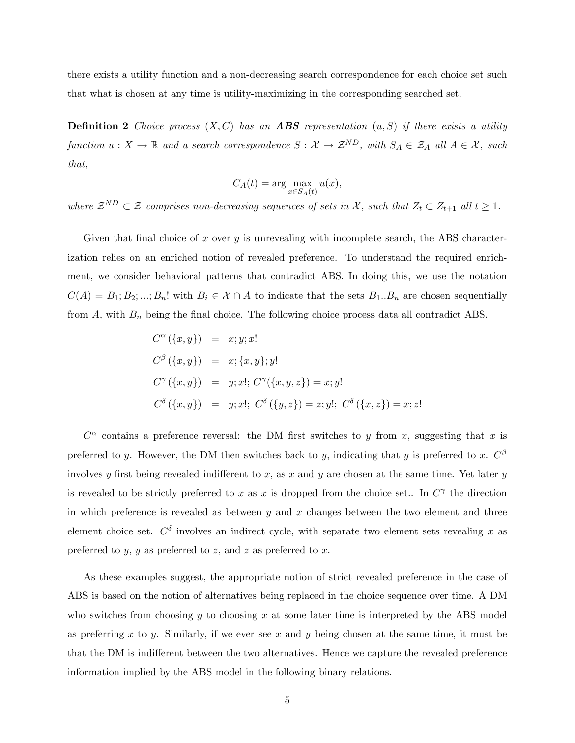there exists a utility function and a non-decreasing search correspondence for each choice set such that what is chosen at any time is utility-maximizing in the corresponding searched set.

**Definition 2** Choice process  $(X, C)$  has an **ABS** representation  $(u, S)$  if there exists a utility function  $u: X \to \mathbb{R}$  and a search correspondence  $S: X \to \mathcal{Z}^{ND}$ , with  $S_A \in \mathcal{Z}_A$  all  $A \in \mathcal{X}$ , such that,

$$
C_A(t) = \arg\max_{x \in S_A(t)} u(x),
$$

where  $\mathcal{Z}^{ND} \subset \mathcal{Z}$  comprises non-decreasing sequences of sets in  $\mathcal{X}$ , such that  $Z_t \subset Z_{t+1}$  all  $t \geq 1$ .

Given that final choice of x over  $y$  is unrevealing with incomplete search, the ABS characterization relies on an enriched notion of revealed preference. To understand the required enrichment, we consider behavioral patterns that contradict ABS. In doing this, we use the notation  $C(A) = B_1; B_2; \dots; B_n!$  with  $B_i \in \mathcal{X} \cap A$  to indicate that the sets  $B_1...B_n$  are chosen sequentially from  $A$ , with  $B_n$  being the final choice. The following choice process data all contradict ABS.

$$
C^{\alpha} (\{x, y\}) = x; y; x!
$$
  
\n
$$
C^{\beta} (\{x, y\}) = x; \{x, y\}; y!
$$
  
\n
$$
C^{\gamma} (\{x, y\}) = y; x!; C^{\gamma} (\{x, y, z\}) = x; y!
$$
  
\n
$$
C^{\delta} (\{x, y\}) = y; x!; C^{\delta} (\{y, z\}) = z; y!; C^{\delta} (\{x, z\}) = x; z!
$$

 $C^{\alpha}$  contains a preference reversal: the DM first switches to y from x, suggesting that x is preferred to y. However, the DM then switches back to y, indicating that y is preferred to x.  $C^{\beta}$ involves y first being revealed indifferent to x, as x and y are chosen at the same time. Yet later y is revealed to be strictly preferred to x as x is dropped from the choice set.. In  $C^{\gamma}$  the direction in which preference is revealed as between  $y$  and  $x$  changes between the two element and three element choice set.  $C^{\delta}$  involves an indirect cycle, with separate two element sets revealing x as preferred to y, y as preferred to z, and z as preferred to x.

As these examples suggest, the appropriate notion of strict revealed preference in the case of ABS is based on the notion of alternatives being replaced in the choice sequence over time. A DM who switches from choosing y to choosing x at some later time is interpreted by the ABS model as preferring  $x$  to  $y$ . Similarly, if we ever see  $x$  and  $y$  being chosen at the same time, it must be that the DM is indifferent between the two alternatives. Hence we capture the revealed preference information implied by the ABS model in the following binary relations.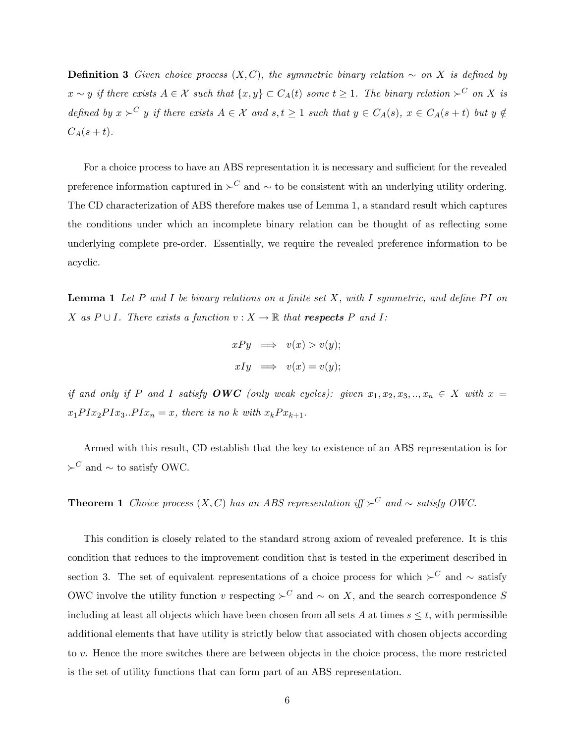**Definition 3** Given choice process  $(X, C)$ , the symmetric binary relation  $\sim$  on X is defined by  $x \sim y$  if there exists  $A \in \mathcal{X}$  such that  $\{x, y\} \subset C_A(t)$  some  $t \geq 1$ . The binary relation  $\succ^C$  on X is defined by  $x \succ^C y$  if there exists  $A \in \mathcal{X}$  and  $s, t \geq 1$  such that  $y \in C_A(s)$ ,  $x \in C_A(s + t)$  but  $y \notin$  $C_A(s+t)$ .

For a choice process to have an ABS representation it is necessary and sufficient for the revealed preference information captured in  $\succ^C$  and  $\sim$  to be consistent with an underlying utility ordering. The CD characterization of ABS therefore makes use of Lemma 1, a standard result which captures the conditions under which an incomplete binary relation can be thought of as reflecting some underlying complete pre-order. Essentially, we require the revealed preference information to be acyclic.

**Lemma 1** Let P and I be binary relations on a finite set X, with I symmetric, and define PI on X as  $P \cup I$ . There exists a function  $v : X \to \mathbb{R}$  that **respects** P and I:

$$
xPy \implies v(x) > v(y);
$$
  

$$
xIy \implies v(x) = v(y);
$$

if and only if P and I satisfy **OWC** (only weak cycles): given  $x_1, x_2, x_3, \ldots, x_n \in X$  with  $x =$  $x_1PIx_2PIx_3..PIx_n = x$ , there is no k with  $x_kPx_{k+1}$ .

Armed with this result, CD establish that the key to existence of an ABS representation is for  $\succ^C$  and  $\sim$  to satisfy OWC.

**Theorem 1** Choice process  $(X, C)$  has an ABS representation iff  $\succ^C$  and  $\sim$  satisfy OWC.

This condition is closely related to the standard strong axiom of revealed preference. It is this condition that reduces to the improvement condition that is tested in the experiment described in section 3. The set of equivalent representations of a choice process for which  $\succ^C$  and  $\sim$  satisfy OWC involve the utility function v respecting  $\succ^C$  and  $\sim$  on X, and the search correspondence S including at least all objects which have been chosen from all sets A at times  $s \leq t$ , with permissible additional elements that have utility is strictly below that associated with chosen objects according to v. Hence the more switches there are between objects in the choice process, the more restricted is the set of utility functions that can form part of an ABS representation.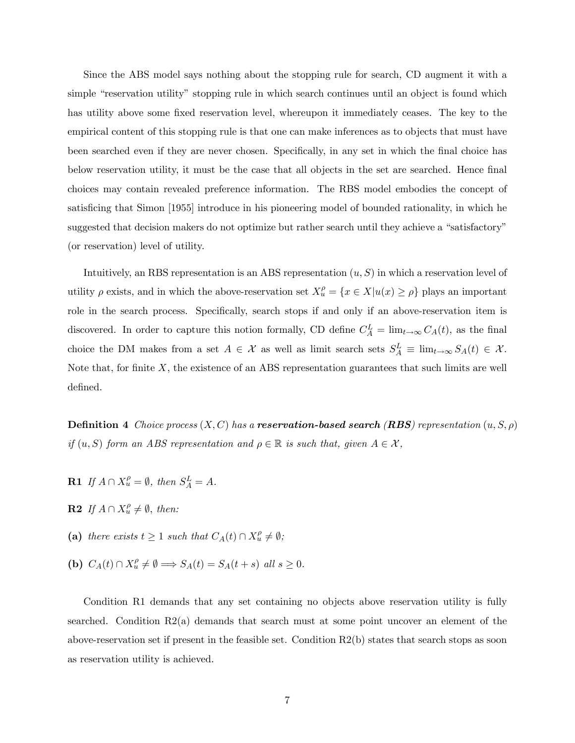Since the ABS model says nothing about the stopping rule for search, CD augment it with a simple "reservation utility" stopping rule in which search continues until an object is found which has utility above some fixed reservation level, whereupon it immediately ceases. The key to the empirical content of this stopping rule is that one can make inferences as to objects that must have been searched even if they are never chosen. Specifically, in any set in which the final choice has below reservation utility, it must be the case that all objects in the set are searched. Hence final choices may contain revealed preference information. The RBS model embodies the concept of satisficing that Simon [1955] introduce in his pioneering model of bounded rationality, in which he suggested that decision makers do not optimize but rather search until they achieve a "satisfactory" (or reservation) level of utility.

Intuitively, an RBS representation is an ABS representation  $(u, S)$  in which a reservation level of utility  $\rho$  exists, and in which the above-reservation set  $X_u^{\rho} = \{x \in X | u(x) \ge \rho\}$  plays an important role in the search process. Specifically, search stops if and only if an above-reservation item is discovered. In order to capture this notion formally, CD define  $C_A^L = \lim_{t \to \infty} C_A(t)$ , as the final choice the DM makes from a set  $A \in \mathcal{X}$  as well as limit search sets  $S_A^L \equiv \lim_{t \to \infty} S_A(t) \in \mathcal{X}$ . Note that, for finite  $X$ , the existence of an ABS representation guarantees that such limits are well defined.

**Definition 4** Choice process  $(X, C)$  has a **reservation-based search (RBS)** representation  $(u, S, \rho)$ if  $(u, S)$  form an ABS representation and  $\rho \in \mathbb{R}$  is such that, given  $A \in \mathcal{X}$ ,

- **R1** If  $A \cap X_u^{\rho} = \emptyset$ , then  $S_A^L = A$ .
- **R2** If  $A \cap X_u^{\rho} \neq \emptyset$ , then:
- (a) there exists  $t \geq 1$  such that  $C_A(t) \cap X_u^{\rho} \neq \emptyset$ ;
- (b)  $C_A(t) \cap X_u^{\rho} \neq \emptyset \Longrightarrow S_A(t) = S_A(t + s)$  all  $s \geq 0$ .

Condition R1 demands that any set containing no objects above reservation utility is fully searched. Condition R2(a) demands that search must at some point uncover an element of the above-reservation set if present in the feasible set. Condition R2(b) states that search stops as soon as reservation utility is achieved.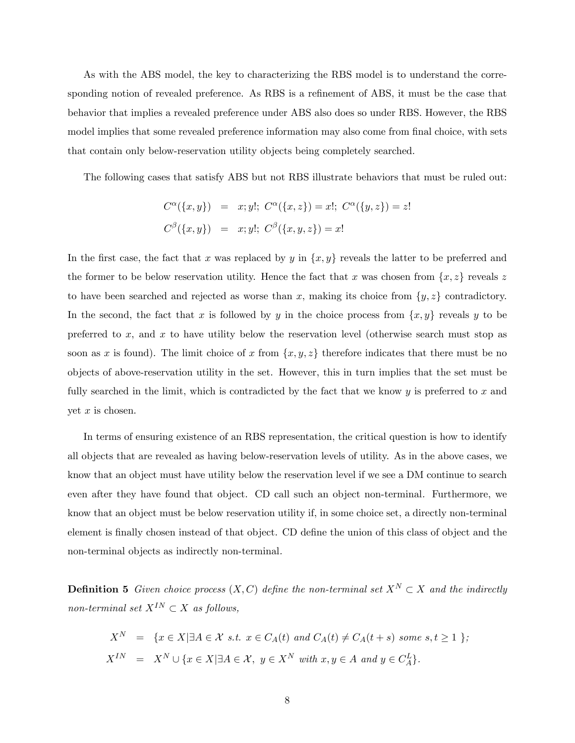As with the ABS model, the key to characterizing the RBS model is to understand the corresponding notion of revealed preference. As RBS is a refinement of ABS, it must be the case that behavior that implies a revealed preference under ABS also does so under RBS. However, the RBS model implies that some revealed preference information may also come from final choice, with sets that contain only below-reservation utility objects being completely searched.

The following cases that satisfy ABS but not RBS illustrate behaviors that must be ruled out:

$$
C^{\alpha}(\{x, y\}) = x; y!, C^{\alpha}(\{x, z\}) = x!, C^{\alpha}(\{y, z\}) = z!
$$
  

$$
C^{\beta}(\{x, y\}) = x; y; C^{\beta}(\{x, y, z\}) = x!
$$

In the first case, the fact that x was replaced by y in  $\{x, y\}$  reveals the latter to be preferred and the former to be below reservation utility. Hence the fact that x was chosen from  $\{x, z\}$  reveals z to have been searched and rejected as worse than x, making its choice from  $\{y, z\}$  contradictory. In the second, the fact that x is followed by y in the choice process from  $\{x, y\}$  reveals y to be preferred to  $x$ , and  $x$  to have utility below the reservation level (otherwise search must stop as soon as x is found). The limit choice of x from  $\{x, y, z\}$  therefore indicates that there must be no objects of above-reservation utility in the set. However, this in turn implies that the set must be fully searched in the limit, which is contradicted by the fact that we know  $y$  is preferred to  $x$  and yet  $x$  is chosen.

In terms of ensuring existence of an RBS representation, the critical question is how to identify all objects that are revealed as having below-reservation levels of utility. As in the above cases, we know that an object must have utility below the reservation level if we see a DM continue to search even after they have found that object. CD call such an object non-terminal. Furthermore, we know that an object must be below reservation utility if, in some choice set, a directly non-terminal element is finally chosen instead of that object. CD define the union of this class of object and the non-terminal objects as indirectly non-terminal.

**Definition 5** Given choice process  $(X, C)$  define the non-terminal set  $X^N \subset X$  and the indirectly non-terminal set  $X^{IN} \subset X$  as follows,

$$
X^N = \{x \in X | \exists A \in \mathcal{X} \text{ s.t. } x \in C_A(t) \text{ and } C_A(t) \neq C_A(t+s) \text{ some } s, t \geq 1 \};
$$
  

$$
X^{IN} = X^N \cup \{x \in X | \exists A \in \mathcal{X}, y \in X^N \text{ with } x, y \in A \text{ and } y \in C_A^L\}.
$$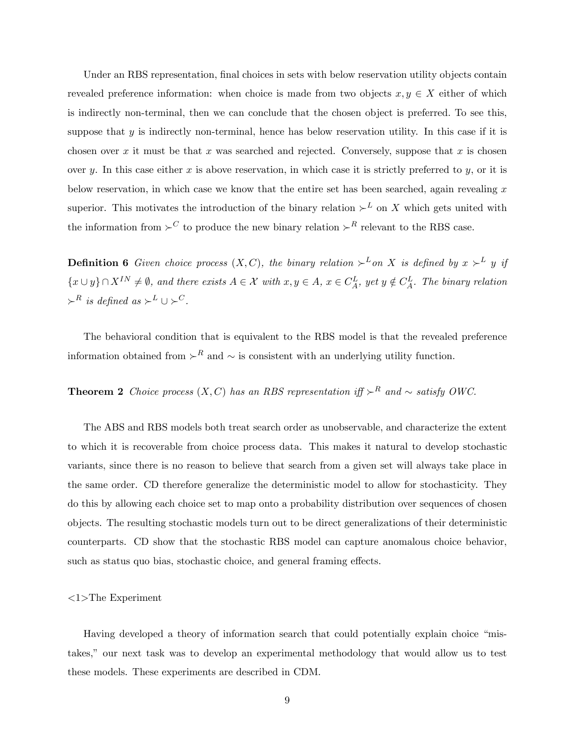Under an RBS representation, final choices in sets with below reservation utility objects contain revealed preference information: when choice is made from two objects  $x, y \in X$  either of which is indirectly non-terminal, then we can conclude that the chosen object is preferred. To see this, suppose that  $y$  is indirectly non-terminal, hence has below reservation utility. In this case if it is chosen over x it must be that x was searched and rejected. Conversely, suppose that x is chosen over y. In this case either x is above reservation, in which case it is strictly preferred to y, or it is below reservation, in which case we know that the entire set has been searched, again revealing  $x$ superior. This motivates the introduction of the binary relation  $\succ^L$  on X which gets united with the information from  $\succ^C$  to produce the new binary relation  $\succ^R$  relevant to the RBS case.

**Definition 6** Given choice process  $(X, C)$ , the binary relation  $\succ^L$  on X is defined by  $x \succ^L y$  if  $\{x \cup y\} \cap X^{IN} \neq \emptyset$ , and there exists  $A \in \mathcal{X}$  with  $x, y \in A$ ,  $x \in C_A^L$ ,  $y \notin C_A^L$ . The binary relation  $\succ^R$  is defined as  $\succ^L \cup \succ^C$ .

The behavioral condition that is equivalent to the RBS model is that the revealed preference information obtained from  $\succ^R$  and  $\sim$  is consistent with an underlying utility function.

# **Theorem 2** Choice process  $(X, C)$  has an RBS representation if  $\succ^R$  and  $\sim$  satisfy OWC.

The ABS and RBS models both treat search order as unobservable, and characterize the extent to which it is recoverable from choice process data. This makes it natural to develop stochastic variants, since there is no reason to believe that search from a given set will always take place in the same order. CD therefore generalize the deterministic model to allow for stochasticity. They do this by allowing each choice set to map onto a probability distribution over sequences of chosen objects. The resulting stochastic models turn out to be direct generalizations of their deterministic counterparts. CD show that the stochastic RBS model can capture anomalous choice behavior, such as status quo bias, stochastic choice, and general framing effects.

# <1>The Experiment

Having developed a theory of information search that could potentially explain choice "mistakes," our next task was to develop an experimental methodology that would allow us to test these models. These experiments are described in CDM.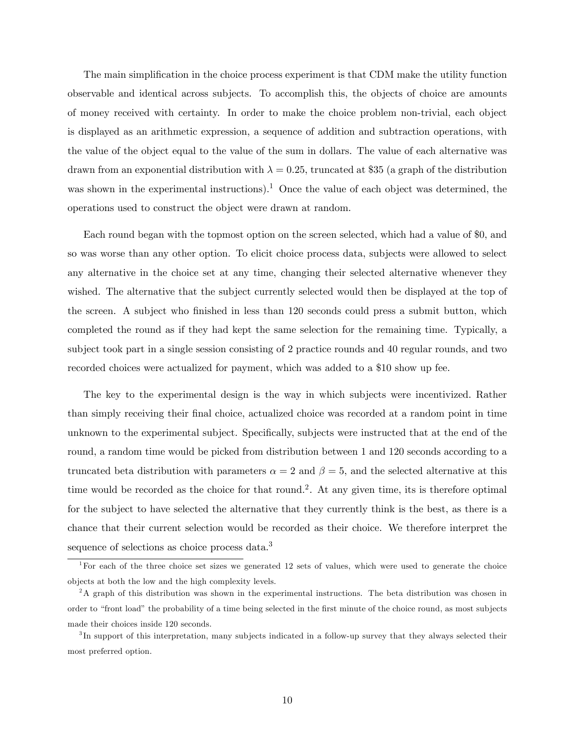The main simplification in the choice process experiment is that CDM make the utility function observable and identical across subjects. To accomplish this, the objects of choice are amounts of money received with certainty. In order to make the choice problem non-trivial, each object is displayed as an arithmetic expression, a sequence of addition and subtraction operations, with the value of the object equal to the value of the sum in dollars. The value of each alternative was drawn from an exponential distribution with  $\lambda = 0.25$ , truncated at \$35 (a graph of the distribution was shown in the experimental instructions).<sup>1</sup> Once the value of each object was determined, the operations used to construct the object were drawn at random.

Each round began with the topmost option on the screen selected, which had a value of \$0, and so was worse than any other option. To elicit choice process data, subjects were allowed to select any alternative in the choice set at any time, changing their selected alternative whenever they wished. The alternative that the subject currently selected would then be displayed at the top of the screen. A subject who finished in less than 120 seconds could press a submit button, which completed the round as if they had kept the same selection for the remaining time. Typically, a subject took part in a single session consisting of 2 practice rounds and 40 regular rounds, and two recorded choices were actualized for payment, which was added to a \$10 show up fee.

The key to the experimental design is the way in which subjects were incentivized. Rather than simply receiving their Önal choice, actualized choice was recorded at a random point in time unknown to the experimental subject. Specifically, subjects were instructed that at the end of the round, a random time would be picked from distribution between 1 and 120 seconds according to a truncated beta distribution with parameters  $\alpha = 2$  and  $\beta = 5$ , and the selected alternative at this time would be recorded as the choice for that round.<sup>2</sup>. At any given time, its is therefore optimal for the subject to have selected the alternative that they currently think is the best, as there is a chance that their current selection would be recorded as their choice. We therefore interpret the sequence of selections as choice process data.<sup>3</sup>

<sup>1</sup>For each of the three choice set sizes we generated 12 sets of values, which were used to generate the choice objects at both the low and the high complexity levels.

<sup>&</sup>lt;sup>2</sup>A graph of this distribution was shown in the experimental instructions. The beta distribution was chosen in order to "front load" the probability of a time being selected in the first minute of the choice round, as most subjects made their choices inside 120 seconds.

<sup>&</sup>lt;sup>3</sup>In support of this interpretation, many subjects indicated in a follow-up survey that they always selected their most preferred option.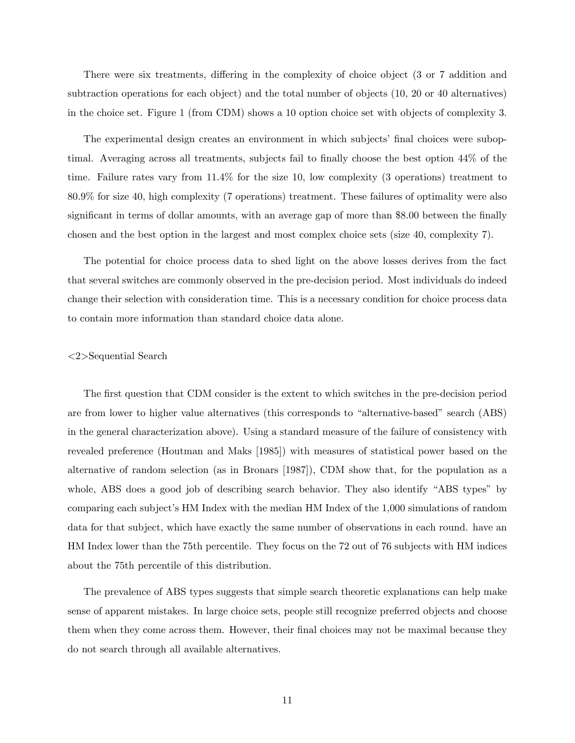There were six treatments, differing in the complexity of choice object (3 or 7 addition and subtraction operations for each object) and the total number of objects (10, 20 or 40 alternatives) in the choice set. Figure 1 (from CDM) shows a 10 option choice set with objects of complexity 3.

The experimental design creates an environment in which subjects' final choices were suboptimal. Averaging across all treatments, subjects fail to finally choose the best option 44% of the time. Failure rates vary from 11.4% for the size 10, low complexity (3 operations) treatment to 80.9% for size 40, high complexity (7 operations) treatment. These failures of optimality were also significant in terms of dollar amounts, with an average gap of more than \$8.00 between the finally chosen and the best option in the largest and most complex choice sets (size 40, complexity 7).

The potential for choice process data to shed light on the above losses derives from the fact that several switches are commonly observed in the pre-decision period. Most individuals do indeed change their selection with consideration time. This is a necessary condition for choice process data to contain more information than standard choice data alone.

#### <2>Sequential Search

The first question that CDM consider is the extent to which switches in the pre-decision period are from lower to higher value alternatives (this corresponds to "alternative-based" search (ABS) in the general characterization above). Using a standard measure of the failure of consistency with revealed preference (Houtman and Maks [1985]) with measures of statistical power based on the alternative of random selection (as in Bronars [1987]), CDM show that, for the population as a whole, ABS does a good job of describing search behavior. They also identify "ABS types" by comparing each subjectís HM Index with the median HM Index of the 1,000 simulations of random data for that subject, which have exactly the same number of observations in each round. have an HM Index lower than the 75th percentile. They focus on the 72 out of 76 subjects with HM indices about the 75th percentile of this distribution.

The prevalence of ABS types suggests that simple search theoretic explanations can help make sense of apparent mistakes. In large choice sets, people still recognize preferred objects and choose them when they come across them. However, their final choices may not be maximal because they do not search through all available alternatives.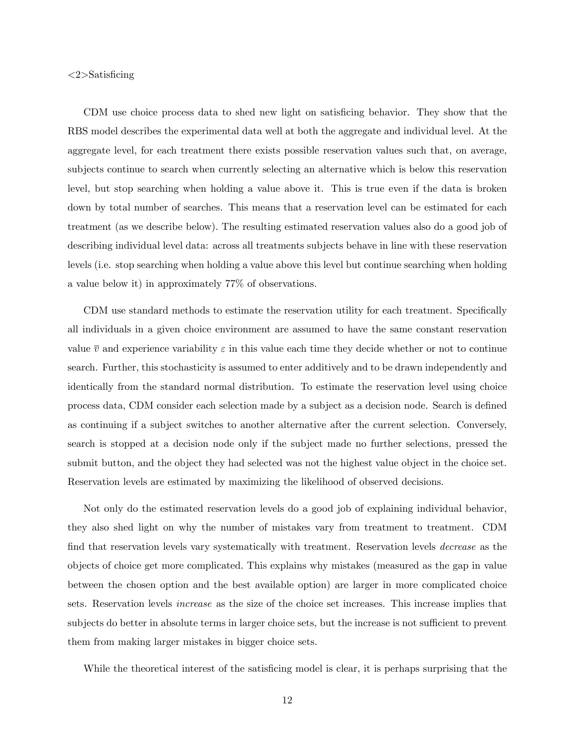$\langle 2 \rangle$ Satisficing

CDM use choice process data to shed new light on satisficing behavior. They show that the RBS model describes the experimental data well at both the aggregate and individual level. At the aggregate level, for each treatment there exists possible reservation values such that, on average, subjects continue to search when currently selecting an alternative which is below this reservation level, but stop searching when holding a value above it. This is true even if the data is broken down by total number of searches. This means that a reservation level can be estimated for each treatment (as we describe below). The resulting estimated reservation values also do a good job of describing individual level data: across all treatments subjects behave in line with these reservation levels (i.e. stop searching when holding a value above this level but continue searching when holding a value below it) in approximately 77% of observations.

CDM use standard methods to estimate the reservation utility for each treatment. Specifically all individuals in a given choice environment are assumed to have the same constant reservation value  $\bar{v}$  and experience variability  $\varepsilon$  in this value each time they decide whether or not to continue search. Further, this stochasticity is assumed to enter additively and to be drawn independently and identically from the standard normal distribution. To estimate the reservation level using choice process data, CDM consider each selection made by a subject as a decision node. Search is defined as continuing if a subject switches to another alternative after the current selection. Conversely, search is stopped at a decision node only if the subject made no further selections, pressed the submit button, and the object they had selected was not the highest value object in the choice set. Reservation levels are estimated by maximizing the likelihood of observed decisions.

Not only do the estimated reservation levels do a good job of explaining individual behavior, they also shed light on why the number of mistakes vary from treatment to treatment. CDM find that reservation levels vary systematically with treatment. Reservation levels *decrease* as the objects of choice get more complicated. This explains why mistakes (measured as the gap in value between the chosen option and the best available option) are larger in more complicated choice sets. Reservation levels increase as the size of the choice set increases. This increase implies that subjects do better in absolute terms in larger choice sets, but the increase is not sufficient to prevent them from making larger mistakes in bigger choice sets.

While the theoretical interest of the satisficing model is clear, it is perhaps surprising that the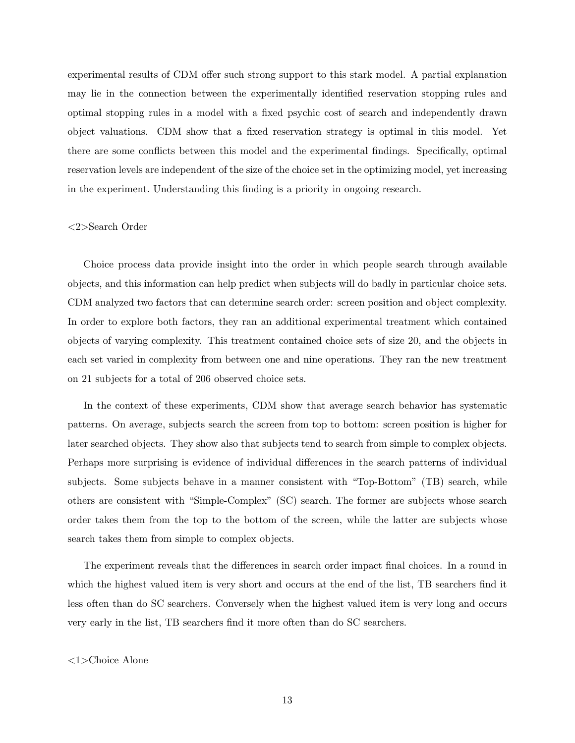experimental results of CDM offer such strong support to this stark model. A partial explanation may lie in the connection between the experimentally identified reservation stopping rules and optimal stopping rules in a model with a fixed psychic cost of search and independently drawn object valuations. CDM show that a fixed reservation strategy is optimal in this model. Yet there are some conflicts between this model and the experimental findings. Specifically, optimal reservation levels are independent of the size of the choice set in the optimizing model, yet increasing in the experiment. Understanding this Önding is a priority in ongoing research.

#### <2>Search Order

Choice process data provide insight into the order in which people search through available objects, and this information can help predict when subjects will do badly in particular choice sets. CDM analyzed two factors that can determine search order: screen position and object complexity. In order to explore both factors, they ran an additional experimental treatment which contained objects of varying complexity. This treatment contained choice sets of size 20, and the objects in each set varied in complexity from between one and nine operations. They ran the new treatment on 21 subjects for a total of 206 observed choice sets.

In the context of these experiments, CDM show that average search behavior has systematic patterns. On average, subjects search the screen from top to bottom: screen position is higher for later searched objects. They show also that subjects tend to search from simple to complex objects. Perhaps more surprising is evidence of individual differences in the search patterns of individual subjects. Some subjects behave in a manner consistent with "Top-Bottom" (TB) search, while others are consistent with "Simple-Complex" (SC) search. The former are subjects whose search order takes them from the top to the bottom of the screen, while the latter are subjects whose search takes them from simple to complex objects.

The experiment reveals that the differences in search order impact final choices. In a round in which the highest valued item is very short and occurs at the end of the list, TB searchers find it less often than do SC searchers. Conversely when the highest valued item is very long and occurs very early in the list, TB searchers find it more often than do SC searchers.

## <1>Choice Alone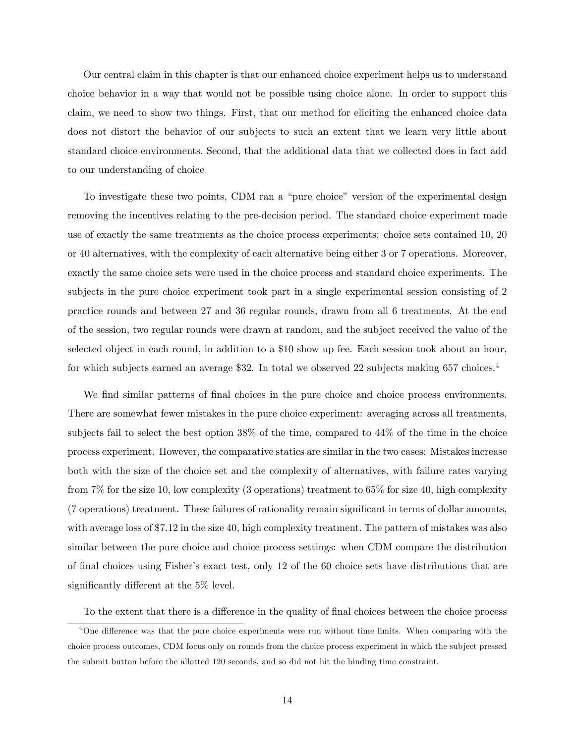Our central claim in this chapter is that our enhanced choice experiment helps us to understand choice behavior in a way that would not be possible using choice alone. In order to support this claim, we need to show two things. First, that our method for eliciting the enhanced choice data does not distort the behavior of our subjects to such an extent that we learn very little about standard choice environments. Second, that the additional data that we collected does in fact add to our understanding of choice

To investigate these two points, CDM ran a "pure choice" version of the experimental design removing the incentives relating to the pre-decision period. The standard choice experiment made use of exactly the same treatments as the choice process experiments: choice sets contained 10, 20 or 40 alternatives, with the complexity of each alternative being either 3 or 7 operations. Moreover, exactly the same choice sets were used in the choice process and standard choice experiments. The subjects in the pure choice experiment took part in a single experimental session consisting of 2 practice rounds and between 27 and 36 regular rounds, drawn from all 6 treatments. At the end of the session, two regular rounds were drawn at random, and the subject received the value of the selected object in each round, in addition to a \$10 show up fee. Each session took about an hour, for which subjects earned an average \$32. In total we observed 22 subjects making 657 choices.<sup>4</sup>

We find similar patterns of final choices in the pure choice and choice process environments. There are somewhat fewer mistakes in the pure choice experiment: averaging across all treatments, subjects fail to select the best option 38% of the time, compared to 44% of the time in the choice process experiment. However, the comparative statics are similar in the two cases: Mistakes increase both with the size of the choice set and the complexity of alternatives, with failure rates varying from 7% for the size 10, low complexity (3 operations) treatment to 65% for size 40, high complexity (7 operations) treatment. These failures of rationality remain signiÖcant in terms of dollar amounts, with average loss of \$7.12 in the size 40, high complexity treatment. The pattern of mistakes was also similar between the pure choice and choice process settings: when CDM compare the distribution of final choices using Fisher's exact test, only 12 of the 60 choice sets have distributions that are significantly different at the  $5\%$  level.

To the extent that there is a difference in the quality of final choices between the choice process

 $4$ One difference was that the pure choice experiments were run without time limits. When comparing with the choice process outcomes, CDM focus only on rounds from the choice process experiment in which the subject pressed the submit button before the allotted 120 seconds, and so did not hit the binding time constraint.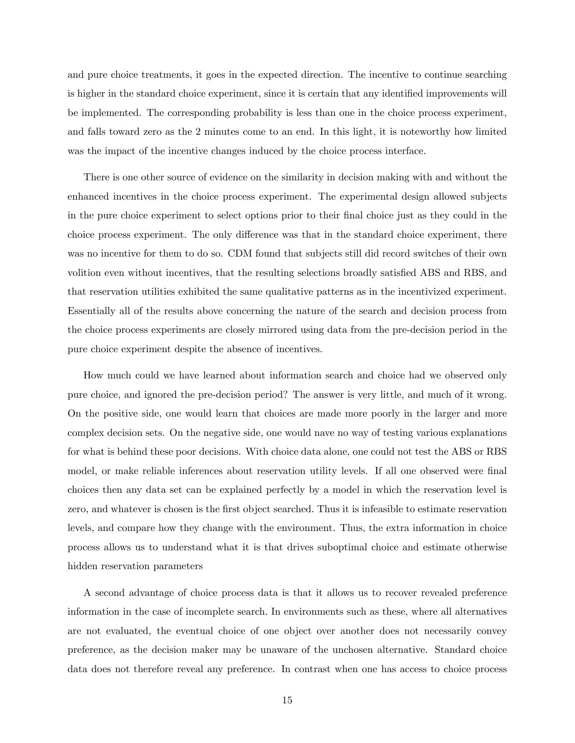and pure choice treatments, it goes in the expected direction. The incentive to continue searching is higher in the standard choice experiment, since it is certain that any identified improvements will be implemented. The corresponding probability is less than one in the choice process experiment, and falls toward zero as the 2 minutes come to an end. In this light, it is noteworthy how limited was the impact of the incentive changes induced by the choice process interface.

There is one other source of evidence on the similarity in decision making with and without the enhanced incentives in the choice process experiment. The experimental design allowed subjects in the pure choice experiment to select options prior to their final choice just as they could in the choice process experiment. The only difference was that in the standard choice experiment, there was no incentive for them to do so. CDM found that subjects still did record switches of their own volition even without incentives, that the resulting selections broadly satisfied ABS and RBS, and that reservation utilities exhibited the same qualitative patterns as in the incentivized experiment. Essentially all of the results above concerning the nature of the search and decision process from the choice process experiments are closely mirrored using data from the pre-decision period in the pure choice experiment despite the absence of incentives.

How much could we have learned about information search and choice had we observed only pure choice, and ignored the pre-decision period? The answer is very little, and much of it wrong. On the positive side, one would learn that choices are made more poorly in the larger and more complex decision sets. On the negative side, one would nave no way of testing various explanations for what is behind these poor decisions. With choice data alone, one could not test the ABS or RBS model, or make reliable inferences about reservation utility levels. If all one observed were final choices then any data set can be explained perfectly by a model in which the reservation level is zero, and whatever is chosen is the first object searched. Thus it is infeasible to estimate reservation levels, and compare how they change with the environment. Thus, the extra information in choice process allows us to understand what it is that drives suboptimal choice and estimate otherwise hidden reservation parameters

A second advantage of choice process data is that it allows us to recover revealed preference information in the case of incomplete search. In environments such as these, where all alternatives are not evaluated, the eventual choice of one object over another does not necessarily convey preference, as the decision maker may be unaware of the unchosen alternative. Standard choice data does not therefore reveal any preference. In contrast when one has access to choice process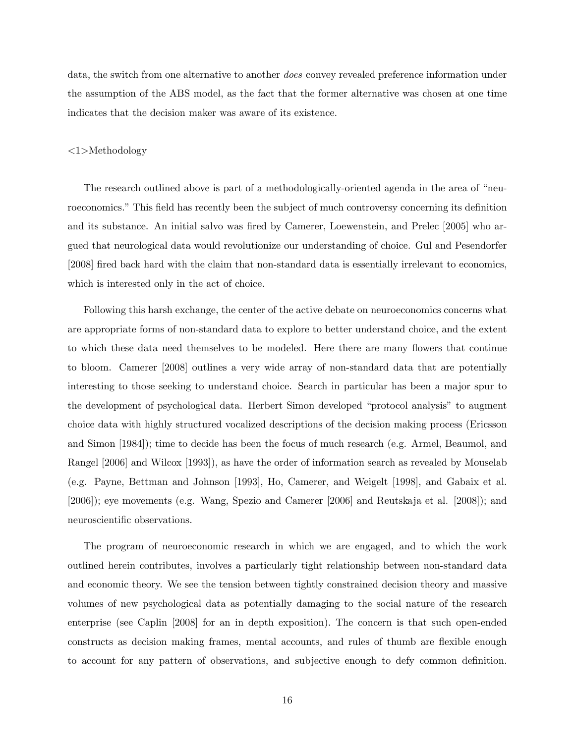data, the switch from one alternative to another *does* convey revealed preference information under the assumption of the ABS model, as the fact that the former alternative was chosen at one time indicates that the decision maker was aware of its existence.

#### <1>Methodology

The research outlined above is part of a methodologically-oriented agenda in the area of "neuroeconomics." This field has recently been the subject of much controversy concerning its definition and its substance. An initial salvo was fired by Camerer, Loewenstein, and Prelec [2005] who argued that neurological data would revolutionize our understanding of choice. Gul and Pesendorfer [2008] Öred back hard with the claim that non-standard data is essentially irrelevant to economics, which is interested only in the act of choice.

Following this harsh exchange, the center of the active debate on neuroeconomics concerns what are appropriate forms of non-standard data to explore to better understand choice, and the extent to which these data need themselves to be modeled. Here there are many flowers that continue to bloom. Camerer [2008] outlines a very wide array of non-standard data that are potentially interesting to those seeking to understand choice. Search in particular has been a major spur to the development of psychological data. Herbert Simon developed "protocol analysis" to augment choice data with highly structured vocalized descriptions of the decision making process (Ericsson and Simon [1984]); time to decide has been the focus of much research (e.g. Armel, Beaumol, and Rangel [2006] and Wilcox [1993]), as have the order of information search as revealed by Mouselab (e.g. Payne, Bettman and Johnson [1993], Ho, Camerer, and Weigelt [1998], and Gabaix et al. [2006]); eye movements (e.g. Wang, Spezio and Camerer [2006] and Reutskaja et al. [2008]); and neuroscientific observations.

The program of neuroeconomic research in which we are engaged, and to which the work outlined herein contributes, involves a particularly tight relationship between non-standard data and economic theory. We see the tension between tightly constrained decision theory and massive volumes of new psychological data as potentially damaging to the social nature of the research enterprise (see Caplin [2008] for an in depth exposition). The concern is that such open-ended constructs as decision making frames, mental accounts, and rules of thumb are flexible enough to account for any pattern of observations, and subjective enough to defy common definition.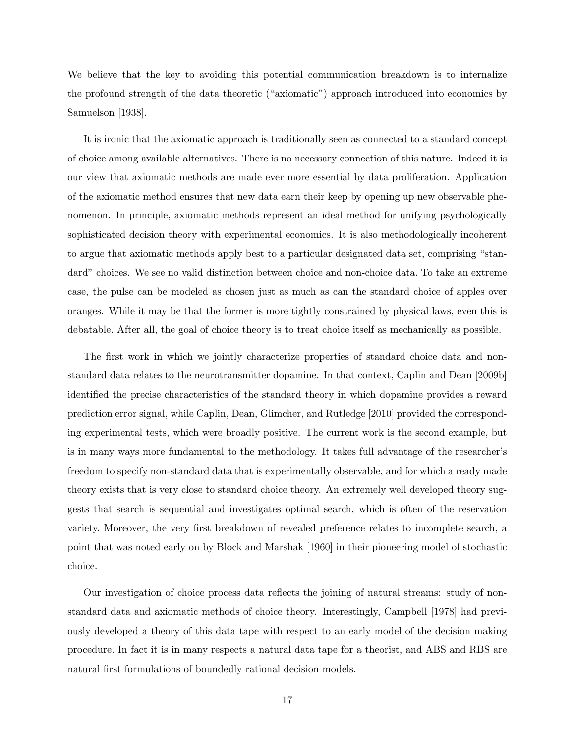We believe that the key to avoiding this potential communication breakdown is to internalize the profound strength of the data theoretic ("axiomatic") approach introduced into economics by Samuelson [1938].

It is ironic that the axiomatic approach is traditionally seen as connected to a standard concept of choice among available alternatives. There is no necessary connection of this nature. Indeed it is our view that axiomatic methods are made ever more essential by data proliferation. Application of the axiomatic method ensures that new data earn their keep by opening up new observable phenomenon. In principle, axiomatic methods represent an ideal method for unifying psychologically sophisticated decision theory with experimental economics. It is also methodologically incoherent to argue that axiomatic methods apply best to a particular designated data set, comprising "standard" choices. We see no valid distinction between choice and non-choice data. To take an extreme case, the pulse can be modeled as chosen just as much as can the standard choice of apples over oranges. While it may be that the former is more tightly constrained by physical laws, even this is debatable. After all, the goal of choice theory is to treat choice itself as mechanically as possible.

The first work in which we jointly characterize properties of standard choice data and nonstandard data relates to the neurotransmitter dopamine. In that context, Caplin and Dean [2009b] identified the precise characteristics of the standard theory in which dopamine provides a reward prediction error signal, while Caplin, Dean, Glimcher, and Rutledge [2010] provided the corresponding experimental tests, which were broadly positive. The current work is the second example, but is in many ways more fundamental to the methodology. It takes full advantage of the researcherís freedom to specify non-standard data that is experimentally observable, and for which a ready made theory exists that is very close to standard choice theory. An extremely well developed theory suggests that search is sequential and investigates optimal search, which is often of the reservation variety. Moreover, the very first breakdown of revealed preference relates to incomplete search, a point that was noted early on by Block and Marshak [1960] in their pioneering model of stochastic choice.

Our investigation of choice process data reflects the joining of natural streams: study of nonstandard data and axiomatic methods of choice theory. Interestingly, Campbell [1978] had previously developed a theory of this data tape with respect to an early model of the decision making procedure. In fact it is in many respects a natural data tape for a theorist, and ABS and RBS are natural first formulations of boundedly rational decision models.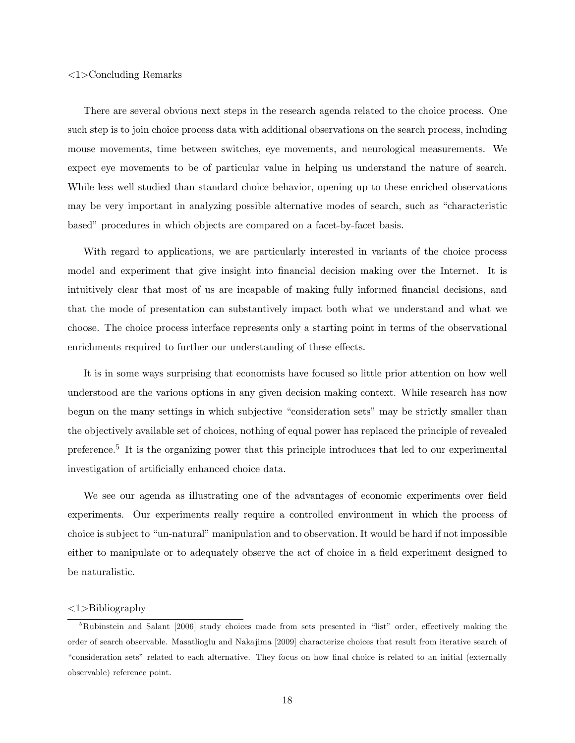#### <1>Concluding Remarks

There are several obvious next steps in the research agenda related to the choice process. One such step is to join choice process data with additional observations on the search process, including mouse movements, time between switches, eye movements, and neurological measurements. We expect eye movements to be of particular value in helping us understand the nature of search. While less well studied than standard choice behavior, opening up to these enriched observations may be very important in analyzing possible alternative modes of search, such as "characteristic basedî procedures in which objects are compared on a facet-by-facet basis.

With regard to applications, we are particularly interested in variants of the choice process model and experiment that give insight into financial decision making over the Internet. It is intuitively clear that most of us are incapable of making fully informed financial decisions, and that the mode of presentation can substantively impact both what we understand and what we choose. The choice process interface represents only a starting point in terms of the observational enrichments required to further our understanding of these effects.

It is in some ways surprising that economists have focused so little prior attention on how well understood are the various options in any given decision making context. While research has now begun on the many settings in which subjective "consideration sets" may be strictly smaller than the objectively available set of choices, nothing of equal power has replaced the principle of revealed preference.<sup>5</sup> It is the organizing power that this principle introduces that led to our experimental investigation of artificially enhanced choice data.

We see our agenda as illustrating one of the advantages of economic experiments over field experiments. Our experiments really require a controlled environment in which the process of choice is subject to "un-natural" manipulation and to observation. It would be hard if not impossible either to manipulate or to adequately observe the act of choice in a field experiment designed to be naturalistic.

### <1>Bibliography

 $5Rubinstein$  and Salant [2006] study choices made from sets presented in "list" order, effectively making the order of search observable. Masatlioglu and Nakajima [2009] characterize choices that result from iterative search of ìconsideration setsî related to each alternative. They focus on how Önal choice is related to an initial (externally observable) reference point.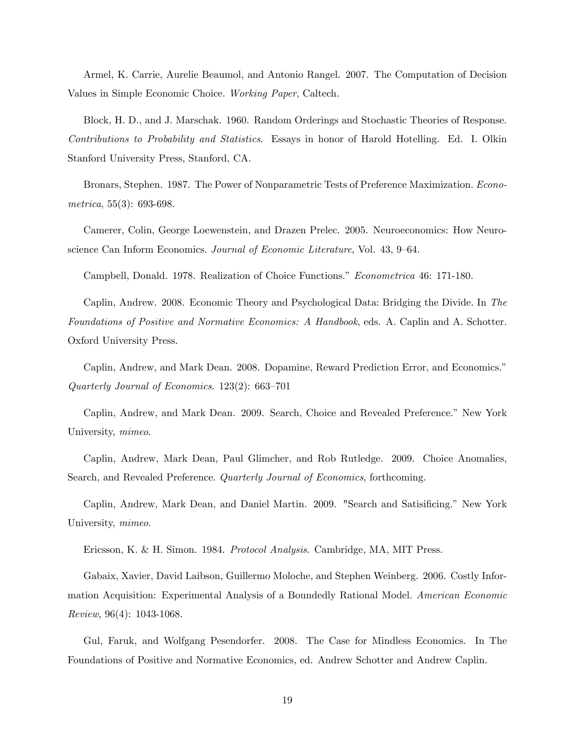Armel, K. Carrie, Aurelie Beaumol, and Antonio Rangel. 2007. The Computation of Decision Values in Simple Economic Choice. Working Paper, Caltech.

Block, H. D., and J. Marschak. 1960. Random Orderings and Stochastic Theories of Response. Contributions to Probability and Statistics. Essays in honor of Harold Hotelling. Ed. I. Olkin Stanford University Press, Stanford, CA.

Bronars, Stephen. 1987. The Power of Nonparametric Tests of Preference Maximization. Econometrica, 55(3): 693-698.

Camerer, Colin, George Loewenstein, and Drazen Prelec. 2005. Neuroeconomics: How Neuroscience Can Inform Economics. Journal of Economic Literature, Vol. 43, 9–64.

Campbell, Donald. 1978. Realization of Choice Functions." *Econometrica* 46: 171-180.

Caplin, Andrew. 2008. Economic Theory and Psychological Data: Bridging the Divide. In The Foundations of Positive and Normative Economics: A Handbook, eds. A. Caplin and A. Schotter. Oxford University Press.

Caplin, Andrew, and Mark Dean. 2008. Dopamine, Reward Prediction Error, and Economics." Quarterly Journal of Economics.  $123(2)$ : 663-701

Caplin, Andrew, and Mark Dean. 2009. Search, Choice and Revealed Preference.î New York University, mimeo.

Caplin, Andrew, Mark Dean, Paul Glimcher, and Rob Rutledge. 2009. Choice Anomalies, Search, and Revealed Preference. Quarterly Journal of Economics, forthcoming.

Caplin, Andrew, Mark Dean, and Daniel Martin. 2009. "Search and Satisificing." New York University, mimeo.

Ericsson, K. & H. Simon. 1984. Protocol Analysis. Cambridge, MA, MIT Press.

Gabaix, Xavier, David Laibson, Guillermo Moloche, and Stephen Weinberg. 2006. Costly Information Acquisition: Experimental Analysis of a Boundedly Rational Model. American Economic Review, 96(4): 1043-1068.

Gul, Faruk, and Wolfgang Pesendorfer. 2008. The Case for Mindless Economics. In The Foundations of Positive and Normative Economics, ed. Andrew Schotter and Andrew Caplin.